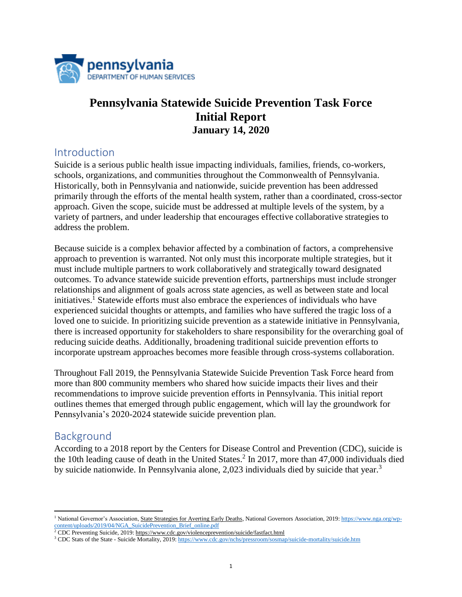

# **Pennsylvania Statewide Suicide Prevention Task Force Initial Report January 14, 2020**

## Introduction

Suicide is a serious public health issue impacting individuals, families, friends, co-workers, schools, organizations, and communities throughout the Commonwealth of Pennsylvania. Historically, both in Pennsylvania and nationwide, suicide prevention has been addressed primarily through the efforts of the mental health system, rather than a coordinated, cross-sector approach. Given the scope, suicide must be addressed at multiple levels of the system, by a variety of partners, and under leadership that encourages effective collaborative strategies to address the problem.

Because suicide is a complex behavior affected by a combination of factors, a comprehensive approach to prevention is warranted. Not only must this incorporate multiple strategies, but it must include multiple partners to work collaboratively and strategically toward designated outcomes. To advance statewide suicide prevention efforts, partnerships must include stronger relationships and alignment of goals across state agencies, as well as between state and local initiatives.<sup>1</sup> Statewide efforts must also embrace the experiences of individuals who have experienced suicidal thoughts or attempts, and families who have suffered the tragic loss of a loved one to suicide. In prioritizing suicide prevention as a statewide initiative in Pennsylvania, there is increased opportunity for stakeholders to share responsibility for the overarching goal of reducing suicide deaths. Additionally, broadening traditional suicide prevention efforts to incorporate upstream approaches becomes more feasible through cross-systems collaboration.

Throughout Fall 2019, the Pennsylvania Statewide Suicide Prevention Task Force heard from more than 800 community members who shared how suicide impacts their lives and their recommendations to improve suicide prevention efforts in Pennsylvania. This initial report outlines themes that emerged through public engagement, which will lay the groundwork for Pennsylvania's 2020-2024 statewide suicide prevention plan.

## Background

According to a 2018 report by the Centers for Disease Control and Prevention (CDC), suicide is the 10th leading cause of death in the United States. 2 In 2017, more than 47,000 individuals died by suicide nationwide. In Pennsylvania alone, 2,023 individuals died by suicide that year.<sup>3</sup>

l <sup>1</sup> National Governor's Association[, State Strategies for Averting Early Deaths,](https://www.nga.org/center/publications/health/state-strategies-for-averting-early-deaths/) National Governors Association, 2019[: https://www.nga.org/wp](https://www.nga.org/wp-content/uploads/2019/04/NGA_SuicidePrevention_Brief_online.pdf)[content/uploads/2019/04/NGA\\_SuicidePrevention\\_Brief\\_online.pdf](https://www.nga.org/wp-content/uploads/2019/04/NGA_SuicidePrevention_Brief_online.pdf)

<sup>&</sup>lt;sup>2</sup> CDC Preventing Suicide, 2019[: https://www.cdc.gov/violenceprevention/suicide/fastfact.html](https://www.cdc.gov/violenceprevention/suicide/fastfact.html)

<sup>&</sup>lt;sup>3</sup> CDC Stats of the State - Suicide Mortality, 2019: <https://www.cdc.gov/nchs/pressroom/sosmap/suicide-mortality/suicide.htm>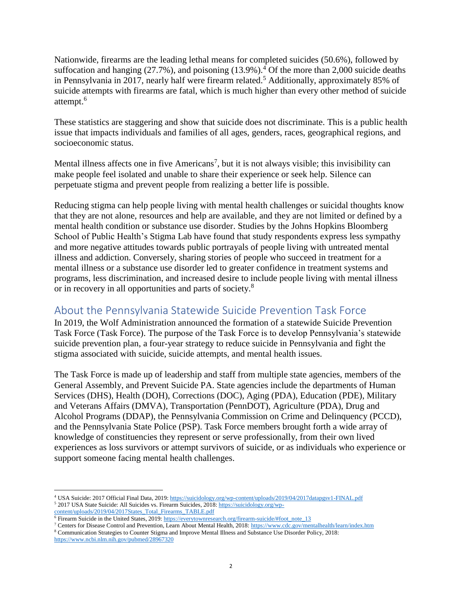Nationwide, firearms are the leading lethal means for completed suicides (50.6%), followed by suffocation and hanging  $(27.7%)$ , and poisoning  $(13.9%)$ <sup>4</sup> Of the more than 2,000 suicide deaths in Pennsylvania in 2017, nearly half were firearm related. <sup>5</sup> Additionally, approximately 85% of suicide attempts with firearms are fatal, which is much higher than every other method of suicide attempt. 6

These statistics are staggering and show that suicide does not discriminate. This is a public health issue that impacts individuals and families of all ages, genders, races, geographical regions, and socioeconomic status.

Mental illness affects one in five Americans<sup>7</sup>, but it is not always visible; this invisibility can make people feel isolated and unable to share their experience or seek help. Silence can perpetuate stigma and prevent people from realizing a better life is possible.

Reducing stigma can help people living with mental health challenges or suicidal thoughts know that they are not alone, resources and help are available, and they are not limited or defined by a mental health condition or substance use disorder. Studies by the Johns Hopkins Bloomberg School of Public Health's Stigma Lab have found that study respondents express less sympathy and more negative attitudes towards public portrayals of people living with untreated mental illness and addiction. Conversely, sharing stories of people who succeed in treatment for a mental illness or a substance use disorder led to greater confidence in treatment systems and programs, less discrimination, and increased desire to include people living with mental illness or in recovery in all opportunities and parts of society.<sup>8</sup>

## About the Pennsylvania Statewide Suicide Prevention Task Force

In 2019, the Wolf Administration announced the formation of a statewide Suicide Prevention Task Force (Task Force). The purpose of the Task Force is to develop Pennsylvania's statewide suicide prevention plan, a four-year strategy to reduce suicide in Pennsylvania and fight the stigma associated with suicide, suicide attempts, and mental health issues.

The Task Force is made up of leadership and staff from multiple state agencies, members of the General Assembly, and Prevent Suicide PA. State agencies include the departments of Human Services (DHS), Health (DOH), Corrections (DOC), Aging (PDA), Education (PDE), Military and Veterans Affairs (DMVA), Transportation (PennDOT), Agriculture (PDA), Drug and Alcohol Programs (DDAP), the Pennsylvania Commission on Crime and Delinquency (PCCD), and the Pennsylvania State Police (PSP). Task Force members brought forth a wide array of knowledge of constituencies they represent or serve professionally, from their own lived experiences as loss survivors or attempt survivors of suicide, or as individuals who experience or support someone facing mental health challenges.

 $\overline{\phantom{a}}$ <sup>4</sup> USA Suicide: 2017 Official Final Data, 2019: <https://suicidology.org/wp-content/uploads/2019/04/2017datapgsv1-FINAL.pdf> <sup>5</sup> 2017 USA State Suicide: All Suicides vs. Firearm Suicides, 2018: [https://suicidology.org/wp-](https://suicidology.org/wp-content/uploads/2019/04/2017States_Total_Firearms_TABLE.pdf)

[content/uploads/2019/04/2017States\\_Total\\_Firearms\\_TABLE.pdf](https://suicidology.org/wp-content/uploads/2019/04/2017States_Total_Firearms_TABLE.pdf)

<sup>&</sup>lt;sup>6</sup> Firearm Suicide in the United States, 2019: [https://everytownresearch.org/firearm-suicide/#foot\\_note\\_13](https://everytownresearch.org/firearm-suicide/#foot_note_13)

<sup>7</sup> Centers for Disease Control and Prevention, Learn About Mental Health, 2018[: https://www.cdc.gov/mentalhealth/learn/index.htm](https://www.cdc.gov/mentalhealth/learn/index.htm)

<sup>8</sup> Communication Strategies to Counter Stigma and Improve Mental Illness and Substance Use Disorder Policy, 2018: <https://www.ncbi.nlm.nih.gov/pubmed/28967320>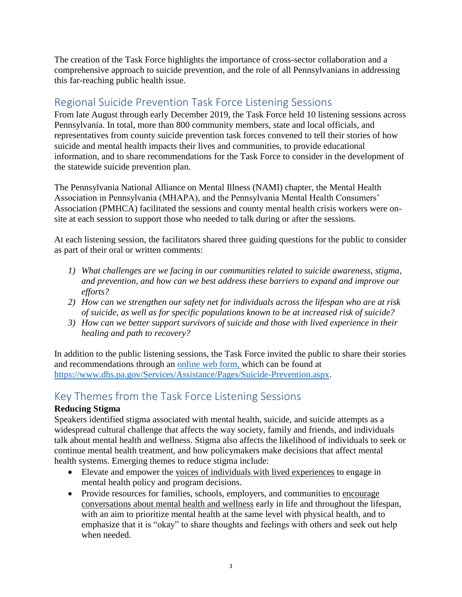The creation of the Task Force highlights the importance of cross-sector collaboration and a comprehensive approach to suicide prevention, and the role of all Pennsylvanians in addressing this far-reaching public health issue.

# Regional Suicide Prevention Task Force Listening Sessions

From late August through early December 2019, the Task Force held 10 listening sessions across Pennsylvania. In total, more than 800 community members, state and local officials, and representatives from county suicide prevention task forces convened to tell their stories of how suicide and mental health impacts their lives and communities, to provide educational information, and to share recommendations for the Task Force to consider in the development of the statewide suicide prevention plan.

The Pennsylvania National Alliance on Mental Illness (NAMI) chapter, the Mental Health Association in Pennsylvania (MHAPA), and the Pennsylvania Mental Health Consumers' Association (PMHCA) facilitated the sessions and county mental health crisis workers were onsite at each session to support those who needed to talk during or after the sessions.

At each listening session, the facilitators shared three guiding questions for the public to consider as part of their oral or written comments:

- *1) What challenges are we facing in our communities related to suicide awareness, stigma, and prevention, and how can we best address these barriers to expand and improve our efforts?*
- *2) How can we strengthen our safety net for individuals across the lifespan who are at risk of suicide, as well as for specific populations known to be at increased risk of suicide?*
- *3) How can we better support survivors of suicide and those with lived experience in their healing and path to recovery?*

In addition to the public listening sessions, the Task Force invited the public to share their stories and recommendations through an [online web form,](https://www.dhs.pa.gov/Services/Assistance/Pages/Suicide-Prevention.aspx) which can be found at [https://www.dhs.pa.gov/Services/Assistance/Pages/Suicide-Prevention.aspx.](https://www.dhs.pa.gov/Services/Assistance/Pages/Suicide-Prevention.aspx)

# Key Themes from the Task Force Listening Sessions

### **Reducing Stigma**

Speakers identified stigma associated with mental health, suicide, and suicide attempts as a widespread cultural challenge that affects the way society, family and friends, and individuals talk about mental health and wellness. Stigma also affects the likelihood of individuals to seek or continue mental health treatment, and how policymakers make decisions that affect mental health systems. Emerging themes to reduce stigma include:

- Elevate and empower the voices of individuals with lived experiences to engage in mental health policy and program decisions.
- Provide resources for families, schools, employers, and communities to encourage conversations about mental health and wellness early in life and throughout the lifespan, with an aim to prioritize mental health at the same level with physical health, and to emphasize that it is "okay" to share thoughts and feelings with others and seek out help when needed.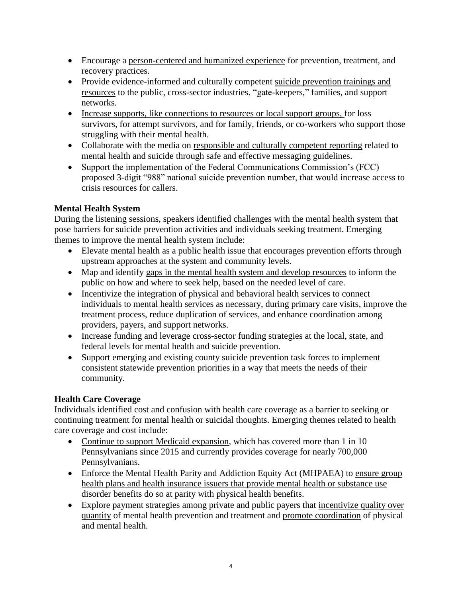- Encourage a person-centered and humanized experience for prevention, treatment, and recovery practices.
- Provide evidence-informed and culturally competent suicide prevention trainings and resources to the public, cross-sector industries, "gate-keepers," families, and support networks.
- Increase supports, like connections to resources or local support groups, for loss survivors, for attempt survivors, and for family, friends, or co-workers who support those struggling with their mental health.
- Collaborate with the media on responsible and culturally competent reporting related to mental health and suicide through safe and effective messaging guidelines.
- Support the implementation of the Federal Communications Commission's (FCC) proposed 3-digit "988" national suicide prevention number, that would increase access to crisis resources for callers.

### **Mental Health System**

During the listening sessions, speakers identified challenges with the mental health system that pose barriers for suicide prevention activities and individuals seeking treatment. Emerging themes to improve the mental health system include:

- Elevate mental health as a public health issue that encourages prevention efforts through upstream approaches at the system and community levels.
- Map and identify gaps in the mental health system and develop resources to inform the public on how and where to seek help, based on the needed level of care.
- Incentivize the integration of physical and behavioral health services to connect individuals to mental health services as necessary, during primary care visits, improve the treatment process, reduce duplication of services, and enhance coordination among providers, payers, and support networks.
- Increase funding and leverage cross-sector funding strategies at the local, state, and federal levels for mental health and suicide prevention.
- Support emerging and existing county suicide prevention task forces to implement consistent statewide prevention priorities in a way that meets the needs of their community.

### **Health Care Coverage**

Individuals identified cost and confusion with health care coverage as a barrier to seeking or continuing treatment for mental health or suicidal thoughts. Emerging themes related to health care coverage and cost include:

- Continue to support Medicaid expansion, which has covered more than 1 in 10 Pennsylvanians since 2015 and currently provides coverage for nearly 700,000 Pennsylvanians.
- Enforce the Mental Health Parity and Addiction Equity Act (MHPAEA) to ensure group health plans and health insurance issuers that provide mental health or substance use disorder benefits do so at parity with physical health benefits.
- Explore payment strategies among private and public payers that incentivize quality over quantity of mental health prevention and treatment and promote coordination of physical and mental health.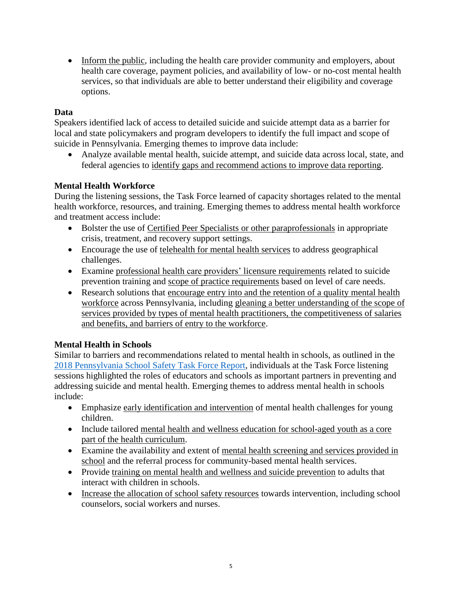• Inform the public, including the health care provider community and employers, about health care coverage, payment policies, and availability of low- or no-cost mental health services, so that individuals are able to better understand their eligibility and coverage options.

#### **Data**

Speakers identified lack of access to detailed suicide and suicide attempt data as a barrier for local and state policymakers and program developers to identify the full impact and scope of suicide in Pennsylvania. Emerging themes to improve data include:

• Analyze available mental health, suicide attempt, and suicide data across local, state, and federal agencies to identify gaps and recommend actions to improve data reporting.

#### **Mental Health Workforce**

During the listening sessions, the Task Force learned of capacity shortages related to the mental health workforce, resources, and training. Emerging themes to address mental health workforce and treatment access include:

- Bolster the use of Certified Peer Specialists or other paraprofessionals in appropriate crisis, treatment, and recovery support settings.
- Encourage the use of telehealth for mental health services to address geographical challenges.
- Examine professional health care providers' licensure requirements related to suicide prevention training and scope of practice requirements based on level of care needs.
- Research solutions that encourage entry into and the retention of a quality mental health workforce across Pennsylvania, including gleaning a better understanding of the scope of services provided by types of mental health practitioners, the competitiveness of salaries and benefits, and barriers of entry to the workforce.

#### **Mental Health in Schools**

Similar to barriers and recommendations related to mental health in schools, as outlined in the [2018 Pennsylvania School Safety Task Force Report,](https://www.governor.pa.gov/wp-content/uploads/2018/08/20180827-Gov-Office-School-Safety-Report-2018.pdf) individuals at the Task Force listening sessions highlighted the roles of educators and schools as important partners in preventing and addressing suicide and mental health. Emerging themes to address mental health in schools include:

- Emphasize early identification and intervention of mental health challenges for young children.
- Include tailored mental health and wellness education for school-aged youth as a core part of the health curriculum.
- Examine the availability and extent of mental health screening and services provided in school and the referral process for community-based mental health services.
- Provide training on mental health and wellness and suicide prevention to adults that interact with children in schools.
- Increase the allocation of school safety resources towards intervention, including school counselors, social workers and nurses.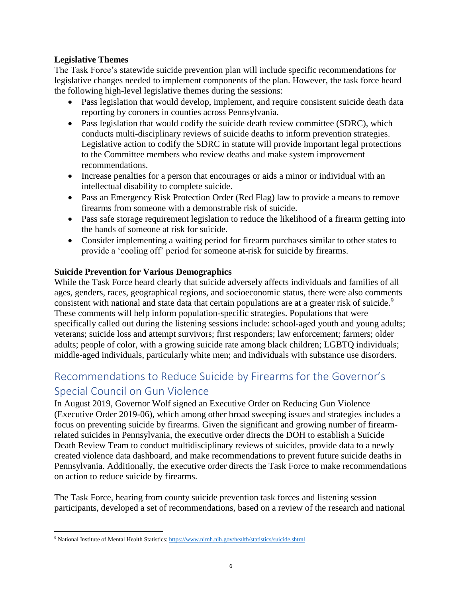#### **Legislative Themes**

The Task Force's statewide suicide prevention plan will include specific recommendations for legislative changes needed to implement components of the plan. However, the task force heard the following high-level legislative themes during the sessions:

- Pass legislation that would develop, implement, and require consistent suicide death data reporting by coroners in counties across Pennsylvania.
- Pass legislation that would codify the suicide death review committee (SDRC), which conducts multi-disciplinary reviews of suicide deaths to inform prevention strategies. Legislative action to codify the SDRC in statute will provide important legal protections to the Committee members who review deaths and make system improvement recommendations.
- Increase penalties for a person that encourages or aids a minor or individual with an intellectual disability to complete suicide.
- Pass an Emergency Risk Protection Order (Red Flag) law to provide a means to remove firearms from someone with a demonstrable risk of suicide.
- Pass safe storage requirement legislation to reduce the likelihood of a firearm getting into the hands of someone at risk for suicide.
- Consider implementing a waiting period for firearm purchases similar to other states to provide a 'cooling off' period for someone at-risk for suicide by firearms.

#### **Suicide Prevention for Various Demographics**

While the Task Force heard clearly that suicide adversely affects individuals and families of all ages, genders, races, geographical regions, and socioeconomic status, there were also comments consistent with national and state data that certain populations are at a greater risk of suicide.<sup>9</sup> These comments will help inform population-specific strategies. Populations that were specifically called out during the listening sessions include: school-aged youth and young adults; veterans; suicide loss and attempt survivors; first responders; law enforcement; farmers; older adults; people of color, with a growing suicide rate among black children; LGBTQ individuals; middle-aged individuals, particularly white men; and individuals with substance use disorders.

# Recommendations to Reduce Suicide by Firearms for the Governor's Special Council on Gun Violence

In August 2019, Governor Wolf signed an Executive Order on Reducing Gun Violence (Executive Order 2019-06), which among other broad sweeping issues and strategies includes a focus on preventing suicide by firearms. Given the significant and growing number of firearmrelated suicides in Pennsylvania, the executive order directs the DOH to establish a Suicide Death Review Team to conduct multidisciplinary reviews of suicides, provide data to a newly created violence data dashboard, and make recommendations to prevent future suicide deaths in Pennsylvania. Additionally, the executive order directs the Task Force to make recommendations on action to reduce suicide by firearms.

The Task Force, hearing from county suicide prevention task forces and listening session participants, developed a set of recommendations, based on a review of the research and national

 $\overline{\phantom{a}}$ 

<sup>9</sup> National Institute of Mental Health Statistics[: https://www.nimh.nih.gov/health/statistics/suicide.shtml](https://www.nimh.nih.gov/health/statistics/suicide.shtml)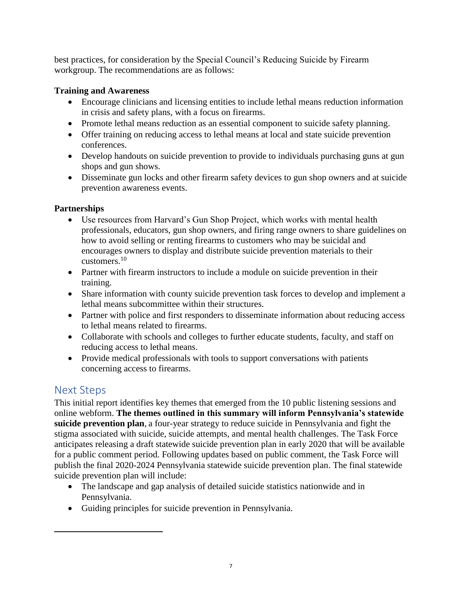best practices, for consideration by the Special Council's Reducing Suicide by Firearm workgroup. The recommendations are as follows:

#### **Training and Awareness**

- Encourage clinicians and licensing entities to include lethal means reduction information in crisis and safety plans, with a focus on firearms.
- Promote lethal means reduction as an essential component to suicide safety planning.
- Offer training on reducing access to lethal means at local and state suicide prevention conferences.
- Develop handouts on suicide prevention to provide to individuals purchasing guns at gun shops and gun shows.
- Disseminate gun locks and other firearm safety devices to gun shop owners and at suicide prevention awareness events.

### **Partnerships**

- Use resources from Harvard's Gun Shop Project, which works with mental health professionals, educators, gun shop owners, and firing range owners to share guidelines on how to avoid selling or renting firearms to customers who may be suicidal and encourages owners to display and distribute suicide prevention materials to their customers. 10
- Partner with firearm instructors to include a module on suicide prevention in their training.
- Share information with county suicide prevention task forces to develop and implement a lethal means subcommittee within their structures.
- Partner with police and first responders to disseminate information about reducing access to lethal means related to firearms.
- Collaborate with schools and colleges to further educate students, faculty, and staff on reducing access to lethal means.
- Provide medical professionals with tools to support conversations with patients concerning access to firearms.

## Next Steps

 $\overline{\phantom{a}}$ 

This initial report identifies key themes that emerged from the 10 public listening sessions and online webform. **The themes outlined in this summary will inform Pennsylvania's statewide suicide prevention plan**, a four-year strategy to reduce suicide in Pennsylvania and fight the stigma associated with suicide, suicide attempts, and mental health challenges. The Task Force anticipates releasing a draft statewide suicide prevention plan in early 2020 that will be available for a public comment period. Following updates based on public comment, the Task Force will publish the final 2020-2024 Pennsylvania statewide suicide prevention plan. The final statewide suicide prevention plan will include:

- The landscape and gap analysis of detailed suicide statistics nationwide and in Pennsylvania.
- Guiding principles for suicide prevention in Pennsylvania.